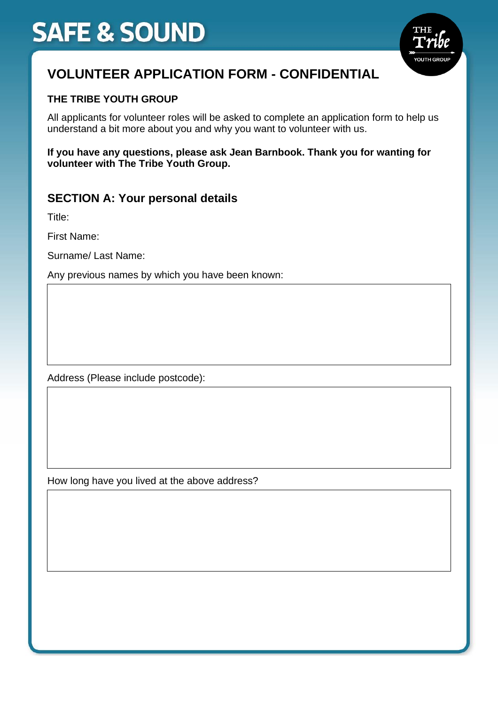

## **VOLUNTEER APPLICATION FORM - CONFIDENTIAL**

#### **THE TRIBE YOUTH GROUP**

All applicants for volunteer roles will be asked to complete an application form to help us understand a bit more about you and why you want to volunteer with us.

**If you have any questions, please ask Jean Barnbook. Thank you for wanting for volunteer with The Tribe Youth Group.**

#### **SECTION A: Your personal details**

Title:

First Name:

Surname/ Last Name:

Any previous names by which you have been known:

Address (Please include postcode):

How long have you lived at the above address?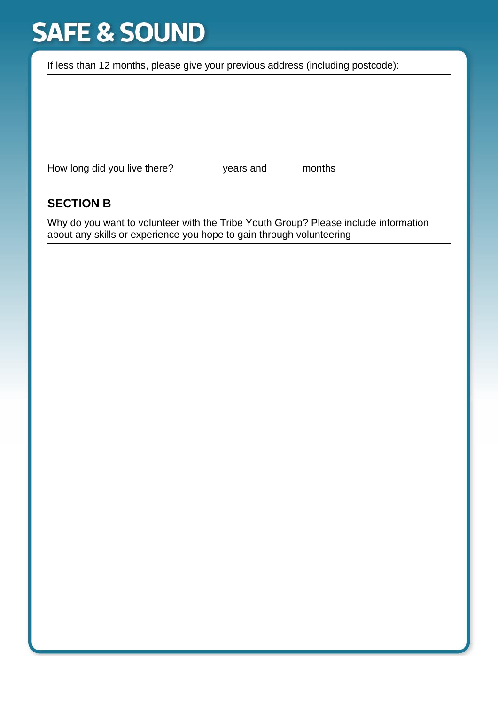If less than 12 months, please give your previous address (including postcode):

How long did you live there? years and months

#### **SECTION B**

Why do you want to volunteer with the Tribe Youth Group? Please include information about any skills or experience you hope to gain through volunteering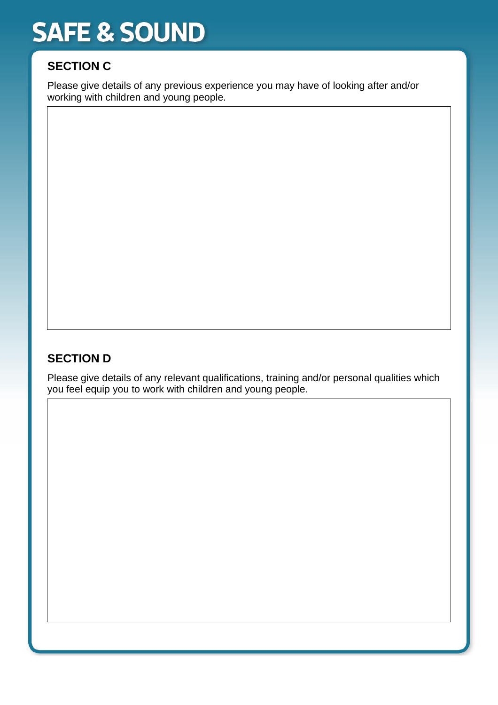### **SECTION C**

Please give details of any previous experience you may have of looking after and/or working with children and young people.

### **SECTION D**

Please give details of any relevant qualifications, training and/or personal qualities which you feel equip you to work with children and young people.